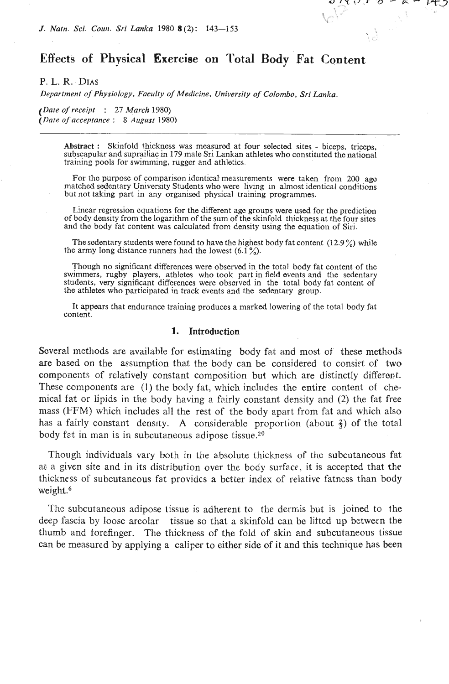# **Effects of Physical Exercise on Total Body Fat Content**

のパイル ロームー

 $\mathcal{A}^{\mathcal{A}}$ 

الخما كم

IE J

P. L. R. **DIAS** 

*Department of Physiology, Faculty of Medicine, University of Colombo,* **Sri** *Lunka.* 

*(Date of receipt* : 27 *March* 1980) *(Date of acceptance* : *S August* 1980)

> Abstract : Skinfold thickness was measured at four selected sites - biceps, triceps. subscapular and suprailiac in 179 male Sri Lankan athletes who constituted the national training pools for swimming, rugger and athletics.

> For the purpose of comparison identical measurements were taken from 200 age matched sedentary University Students who were living in almost identical conditions but not taking part in any organised physical training programmes.

> Linear regression equations for the different age groups were used for the prediction of body density from the logarithm of the sum of the skinfold thickness at the four sites and thc body fat content was calculated from density using the equation of Siri.

> The sedentary students were found to have the highest body fat content  $(12.9\%)$  while the army long distance runners had the lowest  $(6.1\%)$ .

> Though no significant differences were observed in the total body fat content of the swimmers, rugby players, athlotes who took part in field events and the sedentary students, very significant differences were observed in the total body fat content of the athletes who participated in track events and the sedentary group.

> It appears that endurance training produces a marked lowering of the total body fat content.

#### **1. Introduction**

Several methods are available for estimating body fat and most of' these methods are based on the assumption that the body can be considered to consift of two components of relatively constant composition but which are distinctly different. These components are (1) the body fat, which includes the entire content of chemical fat or lipids in the body having a fairly constant density and (2) the fat free mass (FFM) which includes all the rest of the body apart from fat and which also has a fairly constant density. A considerable proportion (about  $\frac{2}{3}$ ) of the total body fat in man is in subcutaneous adipose tissue.<sup>20</sup>

Though individuals vary both in the absolute thickness of the subcutaneous fat at a given site and in its distribution over the body surface, it is accepted that the thickness of subcutaneous fat provides a better index of relative fatness than body weight.<sup>6</sup>

The subcutaneous adipose tissue is adherent to the dermis but is joined to the deep fascia by loose areolar tissue so that a skinfold can be lifted up between the thumb and forefinger. The thickness of the fold of skin and subcutaneous tissue can be measured by applying a caliper to either side of **it** and this technique has been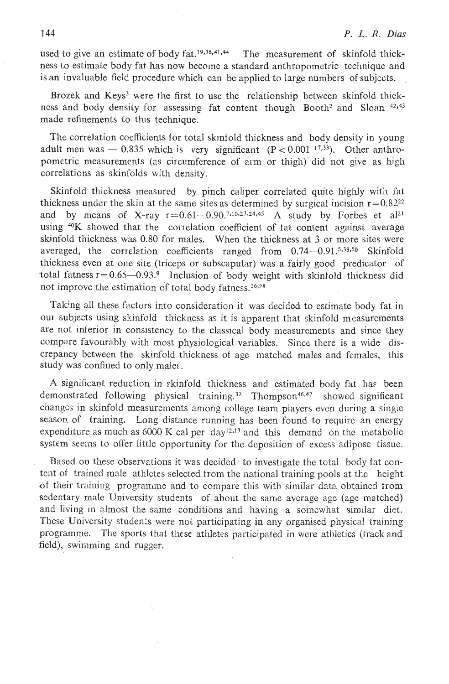used to give an estimate of body  $fat.^{19,36,41,44}$  The measurement of skinfold thickness to estimate body fat has now become a standard anthropomctric technique and is an invaluable field procedure which can be applied to large numbers of subjects.

Brozek and Keys<sup>3</sup> were the first to use the relationship between skinfold thickness and body density for assessing fat content though Booth2 and Sloan **42n43**  made refinements to this technique.

The correlation coefficients for total skinfold thickness and body density in young adult men was  $-0.835$  which is very significant (P < 0.001  $^{17,33}$ ). Other anthropometric measurements (as circumference of arm or thigh) did not give as high correlations as skinfolds with density.

Skinfold thickness measured by pinch caliper correlated quite highly with fat thickness under the skin at the same sites as determined by surgical incision  $r=0.82^{22}$ and by means of X-ray r=0.61-0.90.7,10,23,24,45 A study by Forbes et al<sup>21</sup> using <sup>40</sup>K showed that the correlation coefficient of fat content against average skinfold thickness was 0.80 for males. When the thickness at 3 or more sites were averaged, the correlation coefficients ranged from  $0.74-0.91$  .5,38,50 Skinfold thickness even at olle site (triceps or subscapular) was **a** fairly good predicator of total fatness  $r=0.65-0.93$ .<sup>9</sup> Inclusion of body weight with skinfold thickness did not improve the estimation of total body fatness.<sup>16,28</sup>

Taking all these factors into consideration it was decided to estimate body fat in our subjects using skinfold thickncss as it is apparent that skinfold measurements are not inferior in consistency to the classical body measurements and since they compare favourably with most physiological variables. Since there is a wide discrepancy between the skinfold thickness of age matched males and females, this study was confined to only males.

A significant reduction in skinfold thickness and estimated body fat has been demonstrated following physical training.<sup>32</sup> Thompson<sup>46,47</sup> showed significant changes in skinfold measurements among college team players even during a single season of training. Long distance running has been found to require an energy expenditure as much as  $6000 \text{ K}$  cal per day<sup>12,13</sup> and this demand on the metabolic system seems to offer little opportunity for thc dcposition of excess adipose tissue.

Based on these observations it was decided. to investigate the total body fat content of trained male athlctes selected from the national training pools at the height of their training programme and to compare this with similar data obtained from sedentary male University students of about the same average age (age matched) and living in almost the same conditions and having a somewhat similar diet. These University students were not participating in any organised physical training programme. The sports that these athletes participated in were athletics (track and field), swimming and rugger.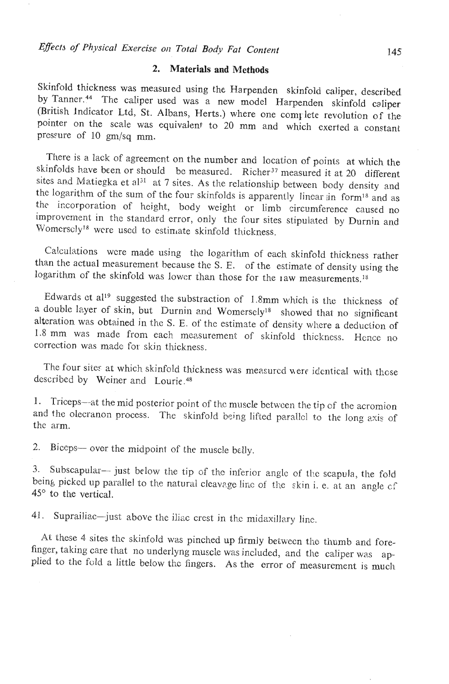## **2. Materials and Methods**

Skinfold thickness was measured using the Harpenden skinfold caliper, described by Tanner.<sup>44</sup> The caliper used was a new model Harpenden skinfold caliper (British Indicator Ltd, St. Albans, Herts.) where one complete revolution of the pointer on the scale was equivalent to 20 mm and which exerted a constant pressure of 10 gm/sq mm.

There is a lack of agreement on the number and location of points at which the skinfolds have been or should be measured. Richer<sup>37</sup> measured it at 20 different sites and Matiegka et al<sup>31</sup> at 7 sites. As the relationship between body density and the logarithm of the sum of the four skinfolds is apparently linear in form<sup>18</sup> and as the incorporation of height, body weight or limb circumference caused no improvement in the standard error, only the four sites stipulated by Durnin and Womerscly<sup>18</sup> were used to estimate skinfold thickness.

Calculations wcre made using the logarithm of each skinfold thickness rather than the actual measurement because the S. E. of the estimate of density using the logarithm of the skinfold was lower than those for the law measurements.<sup>18</sup>

Edwards et al<sup>19</sup> suggested the substraction of  $1.8 \text{mm}$  which is the thickness of a double layer of skin, but Durnin and Womersely<sup>18</sup> showed that no significant alteration was obtained in thc S. E. of thc estimate of density where a deduction of 1.8 mm was made from each measurement of skinfold thickness. Hence no correction was made for skin thickness.

The four sites at which skinfold thickness was measured were identical with those described by Weiner and Lourie.<sup>48</sup>

1. Triceps--at the mid posterior point of thc muscle between the tip of the acromion and the olecranon process. The skinfold being lifted parallel to the long axis of thc arm.

2. Biceps- over the midpoint of the muscle belly.

3. Subscapular-- just below the tip of the inferior angle of the scapula, the fold being picked up parallel to the natural cleavage line of the skin i. e. at an angle of 45° to the vertical.

41. Suprailiac-just above the iliac crest in the midaxillary line.

**At** these 4 sites the skinfold was pinched up firmly between tho thumb and forefinger, taking care that no underlyng muscle was included, and the caliper was applied to the fold a little below the fingers. As the error of measurement is much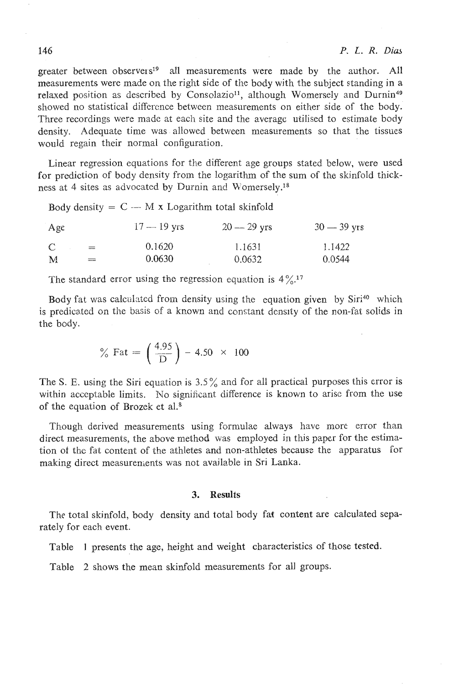greater between observers<sup>19</sup> all measurements were made by the author. All measurements were made on the right side of the body with the subject standing in a relaxed position as described by Consolazio<sup>11</sup>, although Womersely and Durnin<sup>49</sup> showed no statistical difference between measurements on either side of thc body. Three recordings were made at each site and the averagc utilised to estimate body density. Adequate time was allowed between measurements so that the tissues would regain their normal configuration.

Linear regression equations for the different age groups stated below, were used for prediction of body density from the logarithm of the sum of the skinfold thickness at 4 sites as advocated by Durnin and Womersely.<sup>18</sup>

|              |     | Body density = $C - M x$ Logarithm total skinfold |               |               |
|--------------|-----|---------------------------------------------------|---------------|---------------|
| Age          |     | $17 - 19$ yrs                                     | $20 - 29$ yrs | $30 - 39$ yrs |
| $\mathbb{C}$ | $=$ | 0.1620                                            | 1.1631        | 1.1422        |
| M            | $=$ | 0.0630                                            | 0.0632        | 0.0544        |

The standard error using the regression equation is  $4\frac{9}{6}$ .<sup>17</sup>

Body fat was calculated from density using the equation given by  $Siri^{40}$  which is predicated on the basis of a known and constant density of the non-fat solids in the body.

% Fat = 
$$
\left(\frac{4.95}{D}\right) - 4.50 \times 100
$$

The S. E. using the Siri equation is  $3.5\%$  and for all practical purposes this error is within acceptable limits. No significant difference is known to arise from the use of the equation of Brozek et al.<sup>8</sup>

Though derived measurements using formulae always have more error than direct measurements, the above method was employed in this paper for the estimation of the fat content of the athletes and non-athletes because the apparatus for making direct measurements was not available in Sri Lanka.

## **3.** Results

The total skinfold, body density and total body fat content are calculated separately for each event.

Table 1 presents the age, height and weight characteristics of those tested.

Table 2 shows the mean skinfold measurements for all groups.

## 146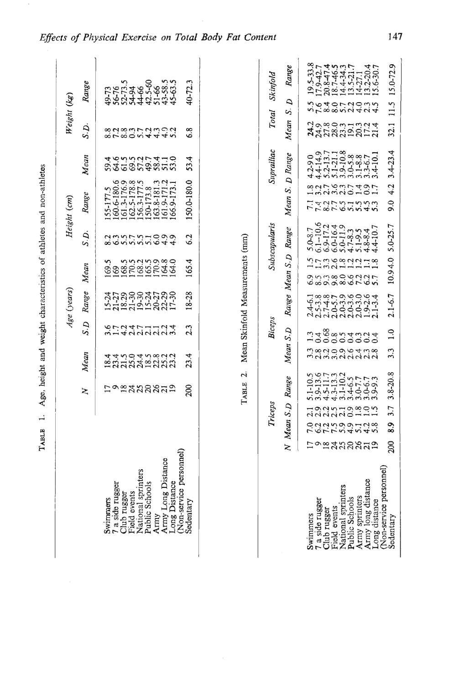| $\ddot{\phantom{a}}$<br>į<br>i |
|--------------------------------|
| athletes and<br>:<br>!<br>Ì    |
|                                |
|                                |
|                                |
|                                |
| Age,                           |
| ì                              |
| LRIKT<br>$\vdots$              |

|                                     |                  |                       |                                                  |                         |                            | Age (years)                                    |                                               |                                 | Height (cm)                               |                                              | Weight (kg)                    |                      |                                         |
|-------------------------------------|------------------|-----------------------|--------------------------------------------------|-------------------------|----------------------------|------------------------------------------------|-----------------------------------------------|---------------------------------|-------------------------------------------|----------------------------------------------|--------------------------------|----------------------|-----------------------------------------|
|                                     |                  |                       | ≿                                                | Mean                    | S.D                        | Range                                          | Mean                                          | S.D.                            | Range                                     | Mean                                         | S.D.                           | Range                |                                         |
| Swimmans                            |                  |                       |                                                  |                         |                            |                                                | 69.5                                          |                                 | 55-177.5                                  |                                              |                                |                      |                                         |
| 7 a side rugger                     |                  |                       |                                                  |                         |                            |                                                |                                               |                                 | 80.6-180.6                                |                                              |                                |                      |                                         |
| Club rugger                         |                  |                       | けっぽみなかなみ                                         | ォォトの4.5%23.3            |                            | สุกุลคลุสุกุลค<br>บัสธสุธาลสุกุล               | $0.58338880$<br>$0.583388880$<br>$0.58338880$ |                                 | 161.3-176.9<br>162.5-178.8<br>156.3-177.5 |                                              | scission 4440<br>scission 4440 |                      |                                         |
| Field events                        |                  |                       |                                                  |                         |                            |                                                |                                               |                                 |                                           |                                              |                                |                      |                                         |
| National sprinters                  |                  |                       |                                                  |                         |                            |                                                |                                               |                                 |                                           |                                              |                                |                      |                                         |
| Public Schools                      |                  |                       |                                                  |                         |                            |                                                |                                               |                                 | 150-173.8                                 |                                              |                                |                      |                                         |
| Army                                |                  |                       |                                                  |                         |                            |                                                |                                               |                                 |                                           |                                              |                                |                      |                                         |
| Army Long Distance                  |                  |                       |                                                  |                         |                            |                                                |                                               |                                 |                                           |                                              |                                |                      |                                         |
| <b>Long Distance</b>                |                  |                       |                                                  |                         |                            |                                                |                                               |                                 | 163.8-181.3<br>161.9-171.2<br>166.9-173.1 | <b>おんさいこうかいせいのはののあるのです</b>                   |                                |                      |                                         |
| (Non-service personnel)             |                  |                       |                                                  |                         |                            |                                                |                                               |                                 |                                           |                                              |                                |                      |                                         |
| Sedentary                           |                  |                       | 200                                              | 23.4                    | 2.3                        | 8-28                                           | 165.4                                         | 6.2                             | 150.0-180.0                               | 53.4                                         | 6.8                            | 40-72.3              |                                         |
|                                     |                  | Triceps               |                                                  |                         | Biceps                     |                                                |                                               | Subscapularis                   |                                           | Suprailiac                                   | <b>Total</b>                   | Skinfold             |                                         |
|                                     | $\geq$           | Mean S.D              | Range                                            | Mean                    | S.D                        |                                                | Range Mean S.D Range                          |                                 | Mean S. D Range                           |                                              | Mean                           | $\Delta$<br>Š,       | Range                                   |
| Swimmers                            |                  |                       | 5.1-10.5                                         |                         |                            |                                                |                                               | 5.0-8.7                         |                                           | $4.2 - 90$                                   |                                |                      | $19.5 - 33.8$                           |
| 7 a side rugger                     |                  |                       | $3.9 - 13.6$<br>4.5-11.7                         |                         |                            |                                                |                                               | $6.1 - 10.6$                    | 774277<br>74277                           | 4.4-14.9<br>5.2-13.7<br>5.1-21.1<br>3.9-10.8 |                                |                      | 17.9-42.7                               |
| Field events<br>Club rugger         |                  |                       | $4.3 - 13.3$                                     |                         |                            |                                                |                                               | 6.9-17.2<br>6.0-16.4            |                                           |                                              |                                |                      |                                         |
| National sprinters                  |                  |                       | $3.1 - 10.2$                                     |                         |                            |                                                |                                               | 5.0-11.9                        |                                           |                                              |                                |                      | 20.847.4<br>18.746.5<br>14.4-34.3       |
| Public Schools                      |                  |                       |                                                  |                         |                            |                                                |                                               | $4.7-8.3$<br>5.1-9.5<br>4.8-8.4 |                                           | $3.0 - 5.8$<br>$3.1 - 8.3$<br>$3.3 - 6.7$    |                                |                      | $13.5 - 21.7$                           |
| Army sprinters                      |                  |                       |                                                  |                         |                            |                                                |                                               |                                 |                                           |                                              |                                |                      |                                         |
| Army long distance<br>Long distance | <b>hogasagan</b> | 192519981<br>orrwanan | $3.4-6.5$<br>$3.0-7.7$<br>$3.0-6.7$<br>$3.9-9.3$ | nanonotma<br>mannininin | na Expression<br>Lococococ | に。。。<br>よこように。。ここでは、これによっているので、これには、このことをしている。 | とうきゅうこうは<br>のういいのつうこうている しょうしょう しょうしょう        | 4.4-10.7                        | ミュフィッシュルーロー<br>というこう                      | $3.4 - 10.1$                                 | างครากแล้ว<br>มีมีกลักราช      | とうはいてこりこと<br>こうはいていい | $14-27.1$<br>$13.2-20.4$<br>$15.6-30.7$ |
| Non-service personnel<br>Sedentary  | 200              | 3.7<br>83             | $3.8 - 20.8$                                     | 3.3                     | $\frac{0}{1}$              | $2.1 - 6.7$                                    | 10.94.0                                       | $5.0 - 25.7$                    | 4.2<br>$\ddot{6}$                         | $3.4 - 23.4$                                 | 32.1                           | 11.5 15.0-72.9       |                                         |

# Effects of Physical Exercise on Total Body Fat Content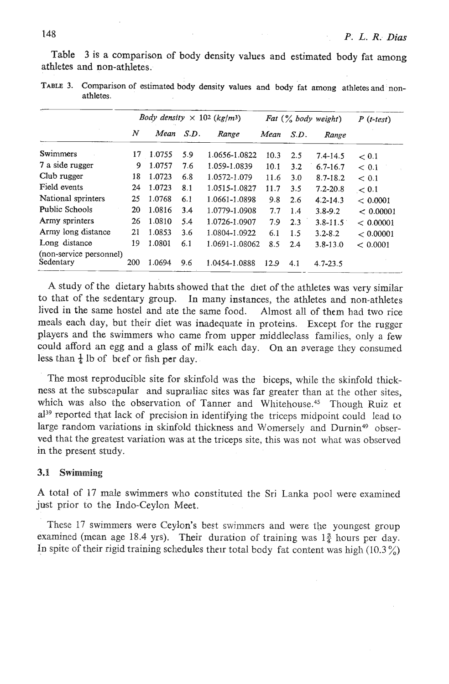Table **3** is a comparison of body density values and estimated body fat among athletes and non-athletes.

|                                      |     |        |      | <i>Body density</i> $\times$ 102 (kg/m <sup>3</sup> ) |              |       | Fat $(\frac{6}{6}$ body weight) | $P(t-test)$ |
|--------------------------------------|-----|--------|------|-------------------------------------------------------|--------------|-------|---------------------------------|-------------|
|                                      | N   | Mean   | S.D. | Range                                                 | Mean<br>S.D. | Range |                                 |             |
| Swimmers                             | 17  | 1.0755 | 5.9  | 1.0656-1.0822                                         | 10.3         | 2.5   | $7.4 - 14.5$                    | < 0.1       |
| 7 a side rugger                      | 9   | 1.0757 | 7.6  | 1.059-1.0839                                          | 10.1         | 3.2   | $6.7 - 16.7$                    | ~< 0.1      |
| Club rugger                          | 18  | 1.0723 | 6.8  | 1.0572-1.079                                          | 11.6         | 3.0   | $8.7 - 18.2$                    | < 0.1       |
| Field events                         | 24  | 1.0723 | 8.1  | 1.0515-1.0827                                         | 11.7         | 3.5   | $7.2 - 20.8$                    | < 0.1       |
| National sprinters                   | 25  | 1.0768 | 6.1  | 1.0661-1.0898                                         | 9.8          | 2.6   | $4.2 - 14.3$                    | < 0.0001    |
| Public Schools                       | 20  | 1.0816 | 3.4  | 1.0779-1.0908                                         | 7.7          | 1.4   | $3.8 - 9.2$                     | < 0.00001   |
| Army sprinters                       | 26  | 1.0810 | 5.4  | 1.0726-1.0907                                         | 7.9          | 2.3   | $3.8 - 11.5$                    | < 0.00001   |
| Army long distance                   | 21  | 1.0853 | 3.6  | 1.0804-1.0922                                         | 6.1          | 1.5   | $3.2 - 8.2$                     | < 0.00001   |
| Long distance                        | 19  | 1.0801 | 6.1  | 1.0691-1.08062                                        | 8.5          | 2.4   | $3.8 - 13.0$                    | < 0.0001    |
| (non-service personnel)<br>Sedentary | 200 | 1.0694 | 9.6  | 1.0454-1.0888                                         | 12.9         | 4.1   | $4.7 - 23.5$                    |             |

**TABLE 3. Comparison of estimated body density values and body fat among athletes and nonathletes.** 

A study of the dietary habits showed that the diet of the athletes was very similar to that of the sedentary group. In many instances, the athletes and non-athletes lived in the same hostel and ate the same food. Almost all of them had two rice meals each day, but their diet was inadequate in proteins. Except for the rugger players and the swimmers who came from upper middleclass families, only a few could afford an egg and a glass of milk each day. On an average they consumed less than  $\frac{1}{4}$  lb of beef or fish per day.

The most reproducible site for skinfold was the biceps, while the skinfold thickness at the subscapular and suprailiac sites was far greater than at the other sites, which was also the observation of Tanner and Whitehouse.<sup>45</sup> Though Ruiz et al<sup>39</sup> reported that lack of precision in identifying the triceps midpoint could lead to large random variations in skinfold thickness and Womersely and Durnin<sup>49</sup> observed that the greatest variation was at the triceps site, this was not what was observed in the present study.

## **3.1 Swimming**

**A** total of 17 male swimmers who constituted the Sri Lanka pool were examined just prior to the Indo-Ceylon Meet.

These 17 swimmers were Ceylon's best swimmers and were the youngest group examined (mean age 18.4 yrs). Their duration of training was  $1\frac{3}{4}$  hours per day. In spite of their rigid training schedules their total body fat content was high (10.3 %)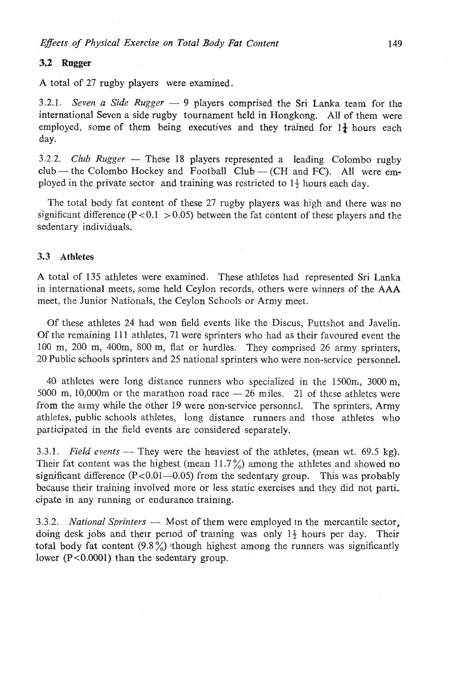## **3.2 Rugger**

**A** total of 27 rugby players were examined.

3.2.1. *Seven a Side Rugger*  $-$  9 players comprised the Sri Lanka team for the international Sevon a side rugby tournament held in Hongkong. **All** of them were employed, some of them being executives and they trained for  $1\frac{1}{4}$  hours each day.

3.2.2. *Club Rugger* - These *18* players represented a leading Colombo rugby  $club$  - the Colombo Hockey and Football Club - (CH and FC). All were employed in the private sector and training was restricted to 1\$ hours each day.

The total body fat content of these 27 rugby players was high and there was no significant difference ( $P < 0.1 > 0.05$ ) between the fat content of these players and the sedentary individuals.

## **3.3 Athletes**

A total of 135 athletes were examined. These athletes had represented Sri Lanka in international meets, some held Ceylon records, others were winners of the **AAA**  meet, the Junior Nationals, the Ceylon Schools or Army meet.

Of these athletes 24 had won field events like the Discus, Puttshot and Javelin. Of the remaining 11 1 athletes, 71 were sprinters who had as their favoured event the 100 m, 200 m, 400m, 800 m, flat or hurdles. They comprised 26 army sprinters, 20 Public schools sprinters and 25 natjonal sprinters who were non-service personnel.

40 athletes were long distance runners who specialized in the  $1500m$ ,  $3000 m$ , 5000 m, 10,000m or the marathon road race  $-26$  miles. 21 of these athletes were from the army while the other 19 were non-service personnel. The sprinters, Army athletes, public schools athletes, long distance runners and those athletes who participated in the field events are considered separately.

3.3.1. *Field events* — They were the heaviest of the athletes, (mean wt. 69.5 kg). Their fat content was the highest (mean  $11.7\%$ ) among the athletes and showed no significant difference  $(P<0.01-0.05)$  from the sedentary group. This was probably because their training involved more or less static exercises and they did not participate in any running or endurance training.

3.3.2. *National Sprinters* — Most of them were employed in the mercantile sector, doing desk jobs and their period of training was only  $1\frac{1}{2}$  hours per day. Their total body fat content  $(9.8\%)$  though highest among the runners was significantly lower  $(P<0.0001)$  than the sedentary group.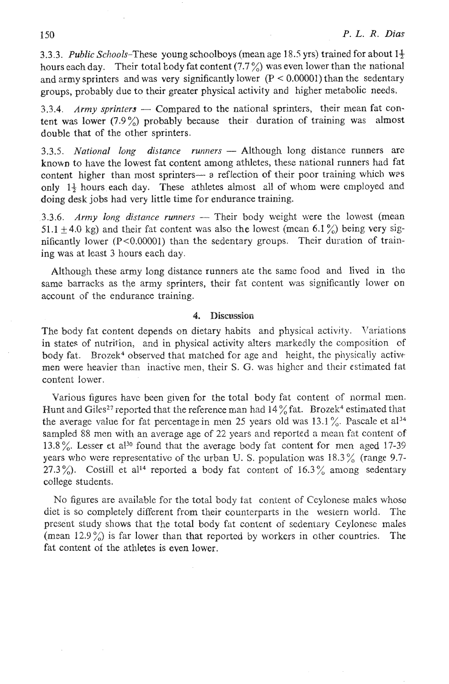**3.3.3.** Public Schools-These young schoolboys (mean age **18.5** yrs) trained for about 19 hours each day. Their total body fat content  $(7.7\%)$  was even lower than the national and army sprinters and was very significantly lower  $(P < 0.00001)$  than the sedentary groups, probably due to their greater physical activity and higher metabolic needs.

 $3.3.4.$  Army sprinters - Compared to the national sprinters, their mean fat content was lower (7.9%) probably because their duration of training was almost double that of the other sprinters.

3.3.5. National long distance runners - Although long distance runners are known to have the lowest fat content among athletes, these national runners had fat content higher than most sprinters- a reflection of their poor training which was only  $1\frac{1}{2}$  hours each day. These athletes almost all of whom were employed and doing desk jobs had very little time for endurance training.

3.3.6. *Army long distance runners* — Their body weight were the lowest (mean 51.1  $\pm$  4.0 kg) and their fat content was also the lowest (mean 6.1 %) being very significantly lower  $(P<0.00001)$  than the sedentary groups. Their duration of training was at least **3** hours each day.

Although these army long distance runners ate the same food and lived in the same barracks as the army sprinters, their fat content was significantly lower on account of the endurance training.

## 4. **Discussion**

The body fat content depends on dietary habits and physical activity. Variations in states of nutrition, and in physical activity alters markedly the composition of body fat. Brozek<sup>4</sup> observed that matched for age and height, the physically active men were heavier than inactive men, thcir **S.** *G.* was higher and their estimated fat content lower.

Various figures have been given for the total body fat content of normal men. Hunt and Giles<sup>27</sup> reported that the reference man had  $14\frac{9}{6}$  fat. Brozek<sup>4</sup> estimated that the average value for fat percentage in men 25 years old was  $13.1\%$ . Pascale et al<sup>34</sup> sampled 88 men with an average age of 22 years and reported a mean fat content of 13.8%. Lesser et al<sup>30</sup> found that the average body fat content for men aged 17-39 years who were representative of the urban U. S. population was  $18.3\%$  (range 9.7-27.3%). Costill et al<sup>14</sup> reported a body fat content of  $16.3\%$  among sedentary college students.

No figures are available for the total body fat content of Ceylonese males whose diet is so completely different from their counterparts in the western world. The present study shows that the total body fat content of sedentary Ceylonese males (mean  $12.9\%$ ) is far lower than that reported by workers in other countries. The fat content of the athletes is even lower.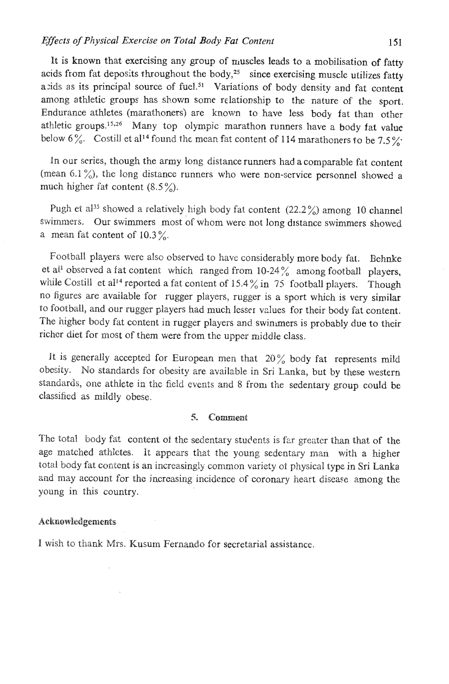It is known that exercising any group of muscles leads to a mobilisation of fatty acids from fat deposits throughout the body, $25$  since exercising muscle utilizes fatty axids as its principal source of fuel.<sup>51</sup> Variations of body density and fat content among athletic groups has shown some relationship to the nature of the sport. Endurance athletes (marathoners) are known to have less body fat than other athletic groups.<sup>15,26</sup> Many top olympic marathon runners have a body fat value below 6%. Costill et al<sup>14</sup> found the mean fat content of 114 marathoners to be 7.5%

In our series, though the army long distance runners had a comparable fat content (mean 6.1%), the long distance runners who were non-service personnel showed a much higher fat content  $(8.5\%)$ .

Pugh et showed a relatively high body fat content **(22.2%)** among **10** channel swimmers. Our swimmers most of whom were not long distance swimmers showed a mean fat content of  $10.3\%$ .

Football players were also observed to have considerably more body fat. Behnke et al<sup>1</sup> observed a fat content which ranged from 10-24% among football players. while Costill et al<sup>14</sup> reported a fat content of  $15.4\%$  in 75 football players. Though no figures are available for rugger players, rugger is a sport which is very similar to football, and our rugger players had much lesser values for their body fat content. The higher body **fat** content in rugger players and swinmers is probably due to their richer diet for most of them were from the uppcr middle class.

It is generally accepted for European men that *20%* body fat represents mild obosity. No standards for obesity are available in Sri Lanka, but by these western standards, one athlete in the field events and 8 from the sedentary group could be classified as mildly obese.

#### $\mathcal{L}_{\mathcal{L}}$ Comment

The total body fat content of the sedentary students is far greater than that of the age matched athletes. It appears that the young sedentary man with a higher total body fat content is an increasingly common variety of physical type in Sri Lanka and may account for the increasing incidence of coronary heart disease among the young in this country.

## Acknowledgements

I wish to thank Mrs. Kusum Fernando for secretarial assistance.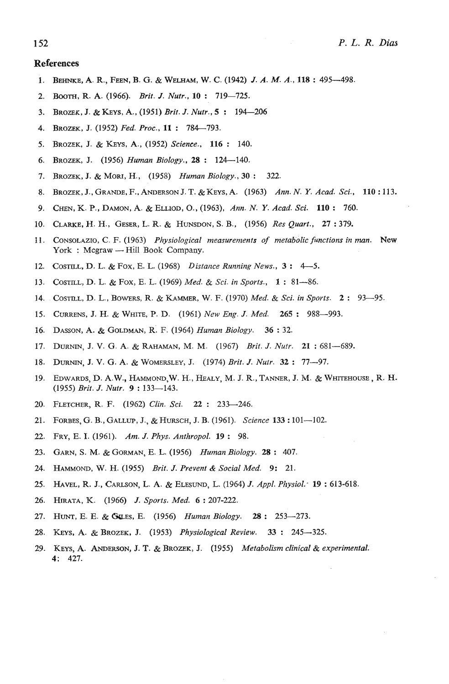### References

- 1. BEHNKE, A. R., FEEN, B. G. & **WELHAM,** W. C. (1942) *J. A. M. A.,* **<sup>118</sup>**: 495-498.
- 2. Boom, R. A. (1966). *Brit.* J. *Nutr.,* **<sup>10</sup>**: 719-725.
- 3. BROZEK, J. & KEYS, A., (1951) *Brit.* J. *Nutr., 5* : 194-206
- 4. BROZEK, J.(1952) *Fed. Proc.,* **<sup>11</sup>**: 784-793.
- 5. BROZEK, J.& KEYS, A., (1952) *Science.,* <sup>116</sup>: 140.
- 6. BROZEK, J.(1956) *Human Biology.,* <sup>28</sup>: 124-140.
- 7. BROZEK, J.& MOM, H., (1958) *Human Biology.,* **<sup>30</sup>**: 322.
- 8. BROZEK, J., GRANDE, F., ANDERSON J. T. & KEYS, A. (1963) *Ann. N.* **Y.** *Acad. Sci.,* **<sup>110</sup>**: 113.
- 9. CHEN, K. P., DAMON, A. & ELLIOD, *O.,* (1963), *Ann. N.* Y. *Acad. Sci.* **<sup>110</sup>**: 760.
- 10. CLARKE, H. **PI.,** GESER, L. **R.** & HUNSDON, S.B., (1956) *Res Quart.,* **27** : 379.
- 11. CONSOLAZIO, C. F. (1963) *Physiological measurements of metabolic functions in man.* **New**  York : Mcgraw - Hill Book Company.
- 12. COSTILL, D. L. & FOX. E. L. (1968) *Distance Running News.,* **<sup>3</sup>**: 4-5.
- 13. COSTEL, D. L. & Fox, E. L. (1969) *Med.* & *Sci. in Sports.,* 1 : 81-86.
- 14. COSTILL, D. L., BOWERS, R. & KAMMER, W. F. (1970) *Med.* & *Sci. in Sports.* **<sup>2</sup>**: 93-95.
- 15. CURRENS, **J.** H. & WHITE, P. D. (1961) *New Eng. J. Med.* <sup>265</sup>: 988-993.
- 16. DASSON, A. & GOLDMAN, R.F. (1964) *Human Biology.* **36** : 32.
- 17. **DURNIN,** J. V. G. A. & RAHAMAN, M. M. (1967) *Brit.* J. *Nu!r.* **<sup>21</sup>**: 681-689.
- 18. DURW, J. **V.** G. A. & WOMERSLEY, J. (1974) *Brit.* J. *Nutr.* **<sup>32</sup>**: 77-97.
- 19. EDWARDS, D. A.W., HAMMOND, W. H., HEALY, M. J. R., TANNER, J. M. & WHITEHOUSE, R. H. (1955) *Brit.* J. *Nutr.* <sup>9</sup>: 133-143.
- 20. FLETCHER, R. F. (1962) *Clin. Sci.* 22: 233-246.
- 21. FORBES, G. B., GALLUP, J., & HURSCH, J.B. (1961). *Science* **<sup>133</sup>**: 101-102.
- 22. FRY, E. I. (1961). *Am.* J. *Phys. Anthropol.* <sup>19</sup>: 98.
- 23. GARN, **S. M.** & GORMAN, E. L. (1956) *Human Biology.* **<sup>28</sup>**: 407.
- **24.** HAMMOND, W.H. (1955) *Brit.* J. *Prevent* & *Social Med.* 9: 21.
- 25. **HAVEL,** R. J., CARLSON, L. A. & **ELESUM),** L. (1964) J. *Appl. Physiol:* **<sup>19</sup>**: 613-618.
- 26. HIRATA, **I<.** (1966) *J. Sports. Med. 6* : 207-222.
- 27. HUNT, E. E. & &ES, E. (1956) *Human Biology.* **<sup>28</sup>**: 253-273.
- 28. Keys, A. & BROZEK, J. (1953) *Physiological Review.* 33: 245-325.
- 29. KEYS, A. **ANDERSON,** J. T. & BROZEK, J. (1955) *Metabolism clinical* & *experimental.*  4: 427.